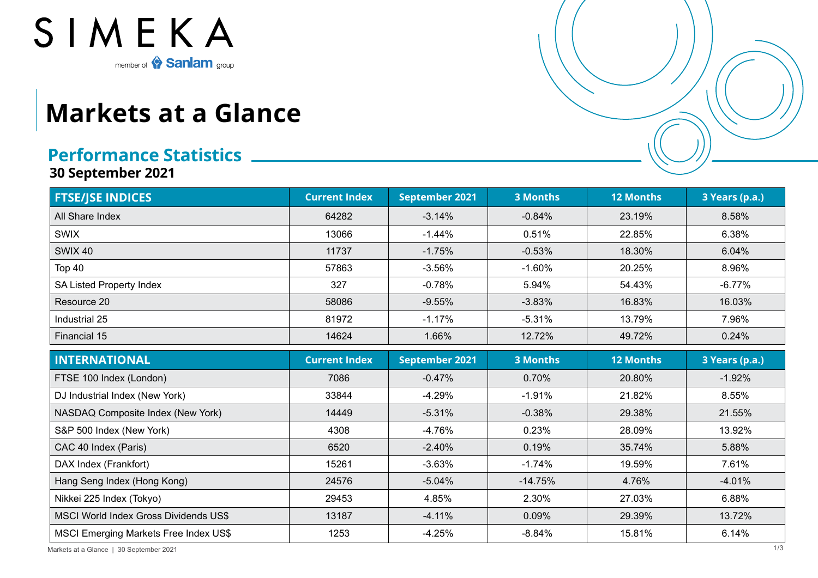

## **Markets at a Glance**

## **Performance Statistics**

**30 September 2021**

| <b>FTSE/JSE INDICES</b>                      | <b>Current Index</b> | <b>September 2021</b> | <b>3 Months</b> | <b>12 Months</b> | 3 Years (p.a.) |  |
|----------------------------------------------|----------------------|-----------------------|-----------------|------------------|----------------|--|
| All Share Index                              | 64282                | $-3.14%$              | $-0.84%$        | 23.19%           | 8.58%          |  |
| <b>SWIX</b>                                  | 13066                | $-1.44%$              | 0.51%           | 22.85%           | 6.38%          |  |
| <b>SWIX 40</b>                               | 11737                | $-1.75%$              | $-0.53%$        | 18.30%           | 6.04%          |  |
| Top 40                                       | 57863                | $-3.56%$              | $-1.60%$        | 20.25%           | 8.96%          |  |
| <b>SA Listed Property Index</b>              | 327                  | $-0.78%$              | 5.94%           | 54.43%           | $-6.77%$       |  |
| Resource 20                                  | 58086                | $-9.55%$              | $-3.83%$        | 16.83%           | 16.03%         |  |
| Industrial 25                                | 81972                | $-1.17%$              | $-5.31%$        | 13.79%           | 7.96%          |  |
| Financial 15                                 | 14624                | 1.66%                 | 12.72%          | 49.72%           | 0.24%          |  |
| <b>INTERNATIONAL</b>                         | <b>Current Index</b> | <b>September 2021</b> | <b>3 Months</b> | 12 Months        | 3 Years (p.a.) |  |
| FTSE 100 Index (London)                      | 7086                 | $-0.47%$              | 0.70%           | 20.80%           | $-1.92%$       |  |
| DJ Industrial Index (New York)               | 33844                | $-4.29%$              | $-1.91%$        | 21.82%           | 8.55%          |  |
| NASDAQ Composite Index (New York)            | 14449                | $-5.31%$              | $-0.38%$        | 29.38%           | 21.55%         |  |
| S&P 500 Index (New York)                     | 4308                 | $-4.76%$              | 0.23%           | 28.09%           | 13.92%         |  |
| CAC 40 Index (Paris)                         | 6520                 | $-2.40%$              | 0.19%           | 35.74%           | 5.88%          |  |
| DAX Index (Frankfort)                        | 15261                | $-3.63%$              | $-1.74%$        | 19.59%           | 7.61%          |  |
| Hang Seng Index (Hong Kong)                  | 24576                | $-5.04%$              | $-14.75%$       | 4.76%            | $-4.01%$       |  |
| Nikkei 225 Index (Tokyo)                     | 29453                | 4.85%                 | 2.30%           | 27.03%           | 6.88%          |  |
| MSCI World Index Gross Dividends US\$        | 13187                | $-4.11%$              | 0.09%           | 29.39%           | 13.72%         |  |
| <b>MSCI Emerging Markets Free Index US\$</b> | 1253                 | $-4.25%$              | $-8.84%$        | 15.81%           | 6.14%          |  |

Markets at a Glance | 30 September 2021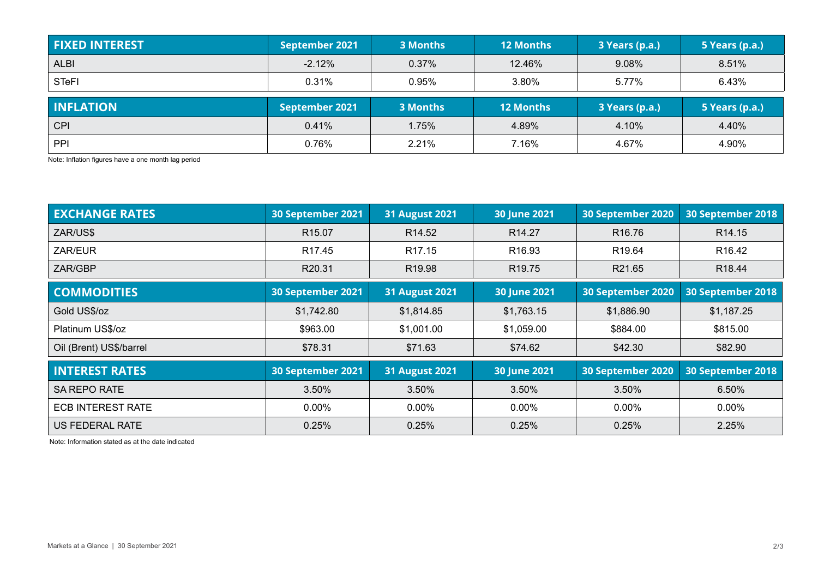| <b>FIXED INTEREST</b> | September 2021 | 3 Months | <b>12 Months</b> | 3 Years (p.a.) | 5 Years (p.a.) |
|-----------------------|----------------|----------|------------------|----------------|----------------|
| <b>ALBI</b>           | $-2.12%$       | 0.37%    | 12.46%           | 9.08%          | 8.51%          |
| <b>STeFI</b>          | 0.31%          | 0.95%    | 3.80%            | 5.77%          | 6.43%          |
| <b>INFLATION</b>      |                |          |                  |                |                |
|                       | September 2021 | 3 Months | <b>12 Months</b> | 3 Years (p.a.) | 5 Years (p.a.) |
| <b>CPI</b>            | 0.41%          | 1.75%    | 4.89%            | 4.10%          | 4.40%          |

Note: Inflation figures have a one month lag period

| <b>EXCHANGE RATES</b>    | 30 September 2021  | <b>31 August 2021</b> | 30 June 2021        | 30 September 2020  | 30 September 2018  |  |
|--------------------------|--------------------|-----------------------|---------------------|--------------------|--------------------|--|
| ZAR/US\$                 | R <sub>15.07</sub> | R <sub>14.52</sub>    | R <sub>14.27</sub>  | R <sub>16.76</sub> | R <sub>14.15</sub> |  |
| ZAR/EUR                  | R <sub>17.45</sub> | R <sub>17.15</sub>    | R <sub>16.93</sub>  | R <sub>19.64</sub> | R <sub>16.42</sub> |  |
| ZAR/GBP                  | R20.31             | R <sub>19.98</sub>    | R <sub>19.75</sub>  | R21.65             | R <sub>18.44</sub> |  |
| <b>COMMODITIES</b>       | 30 September 2021  | <b>31 August 2021</b> | <b>30 June 2021</b> | 30 September 2020  | 30 September 2018  |  |
| Gold US\$/oz             | \$1,742.80         | \$1,814.85            | \$1,763.15          | \$1,886.90         | \$1,187.25         |  |
| Platinum US\$/oz         | \$963.00           | \$1,001.00            | \$1,059.00          | \$884.00           | \$815.00           |  |
| Oil (Brent) US\$/barrel  | \$78.31            | \$71.63               | \$74.62             | \$42.30            | \$82.90            |  |
| <b>INTEREST RATES</b>    | 30 September 2021  | <b>31 August 2021</b> | <b>30 June 2021</b> | 30 September 2020  | 30 September 2018  |  |
| <b>SA REPO RATE</b>      | 3.50%              | 3.50%                 | 3.50%               | 3.50%              | 6.50%              |  |
| <b>ECB INTEREST RATE</b> | $0.00\%$           | $0.00\%$              | $0.00\%$            | $0.00\%$           | $0.00\%$           |  |
| US FEDERAL RATE          | 0.25%              | 0.25%                 | 0.25%               | 0.25%              | 2.25%              |  |

Note: Information stated as at the date indicated